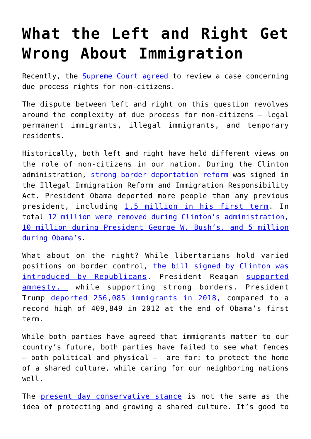## **[What the Left and Right Get](https://intellectualtakeout.org/2019/10/what-the-left-and-right-get-wrong-about-immigration/) [Wrong About Immigration](https://intellectualtakeout.org/2019/10/what-the-left-and-right-get-wrong-about-immigration/)**

Recently, the **[Supreme Court agreed](https://www.wsj.com/articles/supreme-court-to-consider-protections-for-immigrants-seeking-asylum-after-entering-u-s-11571425379?shareToken=st8829d8e641d949928e5a69d1c1b5c80f&reflink=article_email_share)** to review a case concerning due process rights for non-citizens.

The dispute between left and right on this question revolves around the complexity of due process for non-citizens – legal permanent immigrants, illegal immigrants, and temporary residents.

Historically, both left and right have held different views on the role of non-citizens in our nation. During the Clinton administration, [strong border deportation reform](https://www.law.cornell.edu/wex/illegal_immigration_reform_and_immigration_responsibility_act) was signed in the Illegal Immigration Reform and Immigration Responsibility Act. President Obama deported more people than any previous president, including [1.5 million in his first term.](http://www.npr.org/sections/itsallpolitics/2012/12/24/167970002/obama-administration-deported-record-1-5-million-people) In total [12 million were removed during Clinton's administration,](https://www.cnn.com/2019/07/13/politics/obama-trump-deportations-illegal-immigration/index.html) [10 million during President George W. Bush's, and 5 million](https://www.cnn.com/2019/07/13/politics/obama-trump-deportations-illegal-immigration/index.html) [during Obama's](https://www.cnn.com/2019/07/13/politics/obama-trump-deportations-illegal-immigration/index.html).

What about on the right? While libertarians hold varied positions on border control, [the bill signed by Clinton was](https://www.vox.com/2016/4/28/11515132/iirira-clinton-immigration) [introduced by Republicans.](https://www.vox.com/2016/4/28/11515132/iirira-clinton-immigration) President Reagan [supported](https://www.npr.org/templates/story/story.php?storyId=128303672) [amnesty,](https://www.npr.org/templates/story/story.php?storyId=128303672) while supporting strong borders. President Trump [deported 256,085 immigrants in 2018, c](https://www.wsj.com/articles/why-trump-has-deported-fewer-immigrants-than-obama-11564824601)ompared to a record high of 409,849 in 2012 at the end of Obama's first term.

While both parties have agreed that immigrants matter to our country's future, both parties have failed to see what fences  $-$  both political and physical  $-$  are for: to protect the home of a shared culture, while caring for our neighboring nations well.

The [present day conservative stance](https://www.npr.org/2018/01/25/580222116/the-gops-evolution-on-immigration) is not the same as the idea of protecting and growing a shared culture. It's good to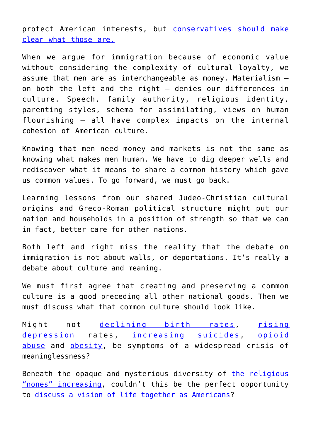protect American interests, but [conservatives should make](https://www.lawliberty.org/2019/10/23/toward-a-renewed-liberal-nationalism/?utm_source=LAL+Updates&utm_campaign=c7a028b0a8-LAL_Daily_Updates&utm_medium=email&utm_term=0_53ee3e1605-c7a028b0a8-72465157) [clear what those are.](https://www.lawliberty.org/2019/10/23/toward-a-renewed-liberal-nationalism/?utm_source=LAL+Updates&utm_campaign=c7a028b0a8-LAL_Daily_Updates&utm_medium=email&utm_term=0_53ee3e1605-c7a028b0a8-72465157)

When we argue for immigration because of economic value without considering the complexity of cultural loyalty, we assume that men are as interchangeable as money. Materialism – on both the left and the right – denies our differences in culture. Speech, family authority, religious identity, parenting styles, schema for assimilating, views on human flourishing – all have complex impacts on the internal cohesion of American culture.

Knowing that men need money and markets is not the same as knowing what makes men human. We have to dig deeper wells and rediscover what it means to share a common history which gave us common values. To go forward, we must go back.

Learning lessons from our shared Judeo-Christian cultural origins and Greco-Roman political structure might put our nation and households in a position of strength so that we can in fact, better care for other nations.

Both left and right miss the reality that the debate on immigration is not about walls, or deportations. It's really a debate about culture and meaning.

We must first agree that creating and preserving a common culture is a good preceding all other national goods. Then we must discuss what that common culture should look like.

Might not [declining birth rates](https://www.pewresearch.org/fact-tank/2019/05/22/u-s-fertility-rate-explained/), [rising](https://www.pewsocialtrends.org/2019/02/20/most-u-s-teens-see-anxiety-and-depression-as-a-major-problem-among-their-peers/) [depression](https://www.pewsocialtrends.org/2019/02/20/most-u-s-teens-see-anxiety-and-depression-as-a-major-problem-among-their-peers/) rates, [increasing suicides,](https://www.cdc.gov/nchs/products/databriefs/db330.htm) [opioid](https://www.foxbusiness.com/money/melania-trump-opioid-crisis-response) [abuse](https://www.foxbusiness.com/money/melania-trump-opioid-crisis-response) and [obesity](https://www.cdc.gov/obesity/data/adult.html), be symptoms of a widespread crisis of meaninglessness?

Beneath the opaque and mysterious diversity of [the religious](https://www.pewforum.org/2019/10/17/in-u-s-decline-of-christianity-continues-at-rapid-pace/) ["nones" increasing,](https://www.pewforum.org/2019/10/17/in-u-s-decline-of-christianity-continues-at-rapid-pace/) couldn't this be the perfect opportunity to [discuss a vision of life together as Americans?](https://mereorthodoxy.com/national-conservative-awakening/)